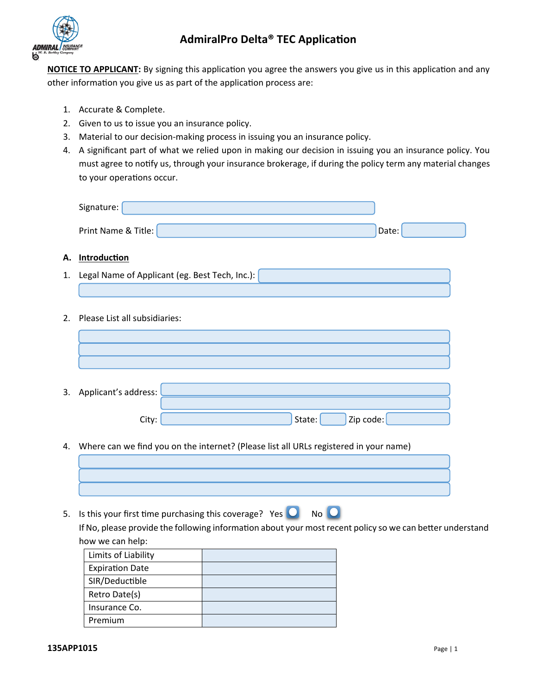

**NOTICE TO APPLICANT:** By signing this application you agree the answers you give us in this application and any other information you give us as part of the application process are:

- 1. Accurate & Complete.
- 2. Given to us to issue you an insurance policy.
- 3. Material to our decision-making process in issuing you an insurance policy.
- 4. A significant part of what we relied upon in making our decision in issuing you an insurance policy. You must agree to notify us, through your insurance brokerage, if during the policy term any material changes to your operations occur.

| Signature:          |       |  |
|---------------------|-------|--|
|                     |       |  |
| Print Name & Title: | Date: |  |

#### **A. Introduction**

- 1. Legal Name of Applicant (eg. Best Tech, Inc.):
- 2. Please List all subsidiaries:

| 3. Applicant's address: |                     |
|-------------------------|---------------------|
|                         |                     |
| City:                   | Zip code:<br>State: |

4. Where can we find you on the internet? (Please list all URLs registered in your name)

5. Is this your first time purchasing this coverage? Yes  $\overline{O}$  No  $\overline{O}$ If No, please provide the following information about your most recent policy so we can better understand how we can help:

| Limits of Liability    |  |
|------------------------|--|
| <b>Expiration Date</b> |  |
| SIR/Deductible         |  |
| Retro Date(s)          |  |
| Insurance Co.          |  |
| Premium                |  |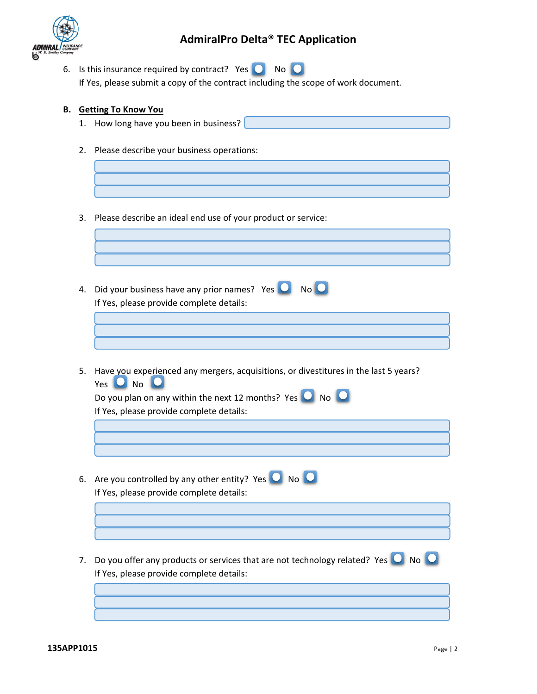

6. Is this insurance required by contract? Yes  $\bigcirc$  No  $\bigcirc$ If Yes, please submit a copy of the contract including the scope of work document.

#### **B. Getting To Know You**

l

- 1. How long have you been in business?
- 2. Please describe your business operations:
	-
- 3. Please describe an ideal end use of your product or service:
- 4. Did your business have any prior names? Yes  $\overline{O}$  No  $\overline{O}$ If Yes, please provide complete details:
- 5. Have you experienced any mergers, acquisitions, or divestitures in the last 5 years?  $Yes$   $O$  No  $O$

| Do you plan on any within the next 12 months? Yes $\Box$ No $\Box$      |
|-------------------------------------------------------------------------|
| If Yes, please provide complete details:                                |
|                                                                         |
|                                                                         |
|                                                                         |
| 6. Are you controlled by any other entity? Yes $\bigcirc$ No $\bigcirc$ |
| If Yes, please provide complete details:                                |
|                                                                         |
|                                                                         |

7. Do you offer any products or services that are not technology related? Yes  $\overline{\bullet}$  No  $\overline{\bullet}$ If Yes, please provide complete details: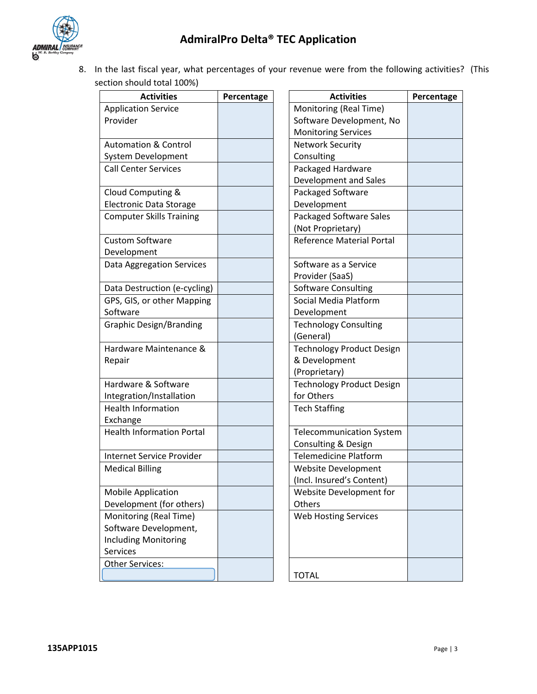



8. In the last fiscal year, what percentages of your revenue were from the following activities? (This section should total 100%)

| <b>Activities</b>                | Percentage | <b>Activities</b>                |
|----------------------------------|------------|----------------------------------|
| <b>Application Service</b>       |            | Monitoring (Real Time)           |
| Provider                         |            | Software Development, No         |
|                                  |            | <b>Monitoring Services</b>       |
| <b>Automation &amp; Control</b>  |            | <b>Network Security</b>          |
| System Development               |            | Consulting                       |
| <b>Call Center Services</b>      |            | Packaged Hardware                |
|                                  |            | Development and Sales            |
| Cloud Computing &                |            | Packaged Software                |
| <b>Electronic Data Storage</b>   |            | Development                      |
| <b>Computer Skills Training</b>  |            | Packaged Software Sales          |
|                                  |            | (Not Proprietary)                |
| <b>Custom Software</b>           |            | <b>Reference Material Portal</b> |
| Development                      |            |                                  |
| <b>Data Aggregation Services</b> |            | Software as a Service            |
|                                  |            | Provider (SaaS)                  |
| Data Destruction (e-cycling)     |            | <b>Software Consulting</b>       |
| GPS, GIS, or other Mapping       |            | Social Media Platform            |
| Software                         |            | Development                      |
| <b>Graphic Design/Branding</b>   |            | <b>Technology Consulting</b>     |
|                                  |            | (General)                        |
| Hardware Maintenance &           |            | <b>Technology Product Design</b> |
| Repair                           |            | & Development                    |
|                                  |            | (Proprietary)                    |
| Hardware & Software              |            | <b>Technology Product Design</b> |
| Integration/Installation         |            | for Others                       |
| <b>Health Information</b>        |            | <b>Tech Staffing</b>             |
| Exchange                         |            |                                  |
| <b>Health Information Portal</b> |            | <b>Telecommunication System</b>  |
|                                  |            | Consulting & Design              |
| <b>Internet Service Provider</b> |            | <b>Telemedicine Platform</b>     |
| <b>Medical Billing</b>           |            | Website Development              |
|                                  |            | (Incl. Insured's Content)        |
| <b>Mobile Application</b>        |            | Website Development for          |
| Development (for others)         |            | Others                           |
| Monitoring (Real Time)           |            | Web Hosting Services             |
| Software Development,            |            |                                  |
| <b>Including Monitoring</b>      |            |                                  |
| Services                         |            |                                  |
| <b>Other Services:</b>           |            |                                  |
|                                  |            | <b>TOTAL</b>                     |

| <b>Activities</b>    | Percentage | <b>Activities</b>                | Percentage |
|----------------------|------------|----------------------------------|------------|
| on Service           |            | Monitoring (Real Time)           |            |
|                      |            | Software Development, No         |            |
|                      |            | <b>Monitoring Services</b>       |            |
| on & Control         |            | <b>Network Security</b>          |            |
| evelopment           |            | Consulting                       |            |
| er Services          |            | Packaged Hardware                |            |
|                      |            | Development and Sales            |            |
| mputing &            |            | Packaged Software                |            |
| c Data Storage       |            | Development                      |            |
| r Skills Training    |            | Packaged Software Sales          |            |
|                      |            | (Not Proprietary)                |            |
| oftware              |            | <b>Reference Material Portal</b> |            |
| nent                 |            |                                  |            |
| regation Services    |            | Software as a Service            |            |
|                      |            | Provider (SaaS)                  |            |
| truction (e-cycling) |            | Software Consulting              |            |
| or other Mapping     |            | Social Media Platform            |            |
|                      |            | Development                      |            |
| esign/Branding       |            | <b>Technology Consulting</b>     |            |
|                      |            | (General)                        |            |
| Maintenance &        |            | <b>Technology Product Design</b> |            |
|                      |            | & Development                    |            |
|                      |            | (Proprietary)                    |            |
| e & Software         |            | <b>Technology Product Design</b> |            |
| on/Installation      |            | for Others                       |            |
| formation            |            | <b>Tech Staffing</b>             |            |
|                      |            |                                  |            |
| formation Portal     |            | <b>Telecommunication System</b>  |            |
|                      |            | Consulting & Design              |            |
| Service Provider     |            | <b>Telemedicine Platform</b>     |            |
| <b>Billing</b>       |            | Website Development              |            |
|                      |            | (Incl. Insured's Content)        |            |
| pplication           |            | Website Development for          |            |
| nent (for others)    |            | Others                           |            |
| ng (Real Time)       |            | Web Hosting Services             |            |
| Development,         |            |                                  |            |
| Monitoring           |            |                                  |            |
|                      |            |                                  |            |
| vices:               |            |                                  |            |
|                      |            | <b>TOTAL</b>                     |            |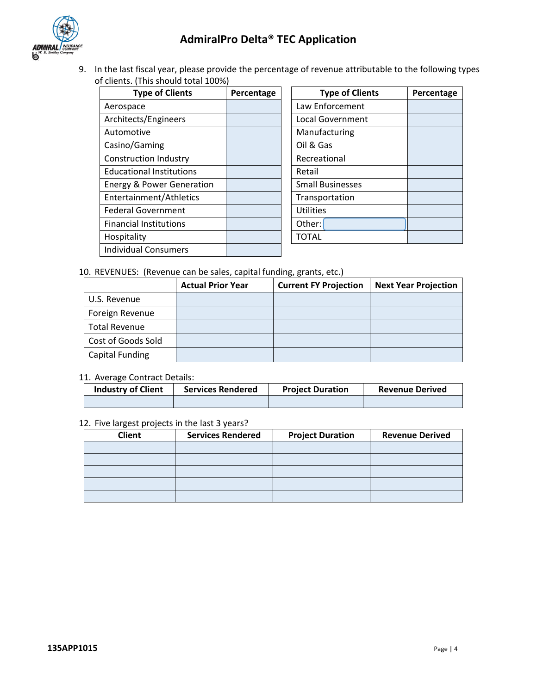

9. In the last fiscal year, please provide the percentage of revenue attributable to the following types of clients. (This should total 100%)

| Percentage | <b>Type of Clie</b>     |
|------------|-------------------------|
|            |                         |
|            | Law Enforcement         |
|            | <b>Local Government</b> |
|            | Manufacturing           |
|            | Oil & Gas               |
|            | Recreational            |
|            | Retail                  |
|            | <b>Small Businesses</b> |
|            | Transportation          |
|            | <b>Utilities</b>        |
|            | Other:                  |
|            | <b>TOTAL</b>            |
|            |                         |
|            |                         |

| <b>Type of Clients</b> | Percentage | <b>Type of Clients</b>  | Percentage |
|------------------------|------------|-------------------------|------------|
| асе                    |            | Law Enforcement         |            |
| cts/Engineers          |            | <b>Local Government</b> |            |
| otive                  |            | Manufacturing           |            |
| <b>Gaming</b>          |            | Oil & Gas               |            |
| iction Industry        |            | Recreational            |            |
| onal Institutions      |            | Retail                  |            |
| & Power Generation     |            | <b>Small Businesses</b> |            |
| inment/Athletics       |            | Transportation          |            |
| Government             |            | <b>Utilities</b>        |            |
| al Institutions        |            | Other:                  |            |
| lity                   |            | <b>TOTAL</b>            |            |
|                        |            |                         |            |

#### 10. REVENUES: (Revenue can be sales, capital funding, grants, etc.)

|                      | <b>Actual Prior Year</b> | <b>Current FY Projection</b> | <b>Next Year Projection</b> |
|----------------------|--------------------------|------------------------------|-----------------------------|
| U.S. Revenue         |                          |                              |                             |
| Foreign Revenue      |                          |                              |                             |
| <b>Total Revenue</b> |                          |                              |                             |
| Cost of Goods Sold   |                          |                              |                             |
| Capital Funding      |                          |                              |                             |

#### 11. Average Contract Details:

| <b>Industry of Client</b> | <b>Services Rendered</b> | <b>Project Duration</b> | <b>Revenue Derived</b> |
|---------------------------|--------------------------|-------------------------|------------------------|
|                           |                          |                         |                        |

#### 12. Five largest projects in the last 3 years?

| <b>Client</b> | <b>Services Rendered</b> | <b>Project Duration</b> | <b>Revenue Derived</b> |
|---------------|--------------------------|-------------------------|------------------------|
|               |                          |                         |                        |
|               |                          |                         |                        |
|               |                          |                         |                        |
|               |                          |                         |                        |
|               |                          |                         |                        |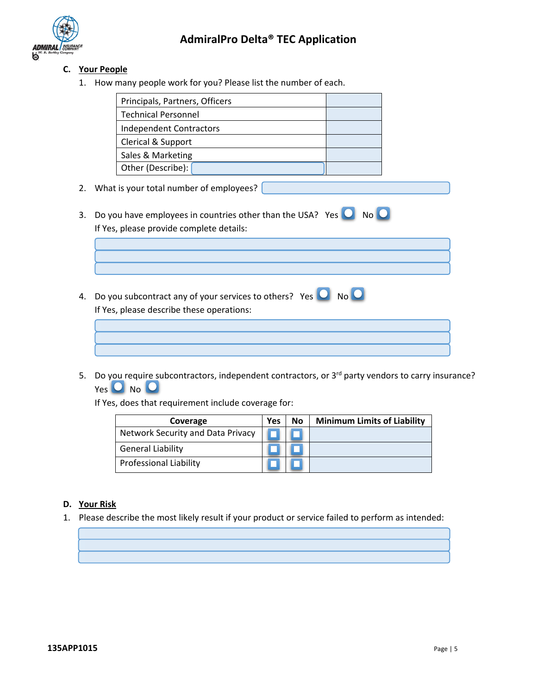

### **C. Your People**

1. How many people work for you? Please list the number of each.

| Principals, Partners, Officers |  |
|--------------------------------|--|
| <b>Technical Personnel</b>     |  |
| Independent Contractors        |  |
| Clerical & Support             |  |
| Sales & Marketing              |  |
| Other (Describe):              |  |

- 2. What is your total number of employees?
- 3. Do you have employees in countries other than the USA? Yes  $\overline{O}$  No  $\overline{O}$ If Yes, please provide complete details:
- 4. Do you subcontract any of your services to others? Yes  $\overline{O}$  No  $\overline{O}$ If Yes, please describe these operations:
- 5. Do you require subcontractors, independent contractors, or 3<sup>rd</sup> party vendors to carry insurance?  $Yes$   $O$  No  $O$

If Yes, does that requirement include coverage for:

| Coverage                          | <b>Yes</b> | No | <b>Minimum Limits of Liability</b> |
|-----------------------------------|------------|----|------------------------------------|
| Network Security and Data Privacy |            |    |                                    |
| <b>General Liability</b>          |            |    |                                    |
| <b>Professional Liability</b>     |            |    |                                    |

#### **D. Your Risk**

1. Please describe the most likely result if your product or service failed to perform as intended: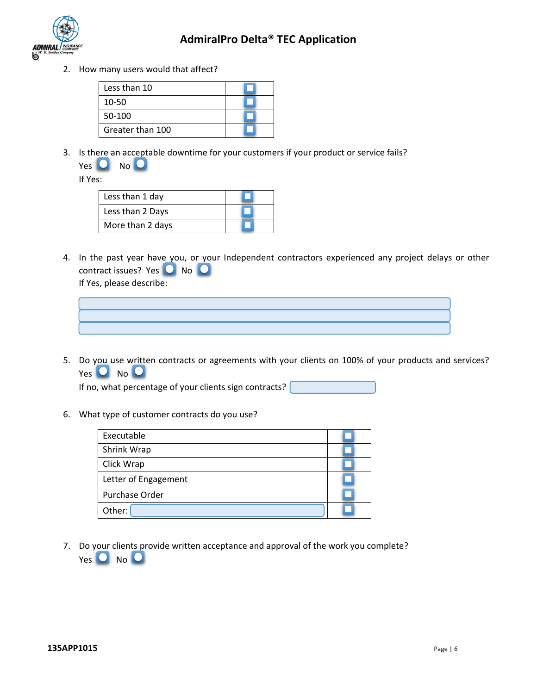

2. How many users would that affect?

| Less than 10     |  |
|------------------|--|
| 10-50            |  |
| 50-100           |  |
| Greater than 100 |  |

3. Is there an acceptable downtime for your customers if your product or service fails?

| <b>Yes</b> | No |  |
|------------|----|--|
|            |    |  |

If Yes:

| Less than 1 day  |  |
|------------------|--|
| Less than 2 Days |  |
| More than 2 days |  |

4. In the past year have you, or your Independent contractors experienced any project delays or other contract issues? Yes  $\bullet$  No  $\bullet$ If Yes, please describe:



5. Do you use written contracts or agreements with your clients on 100% of your products and services?  $Yes$   $O$  No  $O$ 

If no, what percentage of your clients sign contracts?  $\int$ 

6. What type of customer contracts do you use?

| Executable                             |  |
|----------------------------------------|--|
| Shrink Wrap                            |  |
| Click Wrap                             |  |
| Letter of Engagement<br>Purchase Order |  |
|                                        |  |
| Other:                                 |  |

7. Do your clients provide written acceptance and approval of the work you complete?  $Yes$   $O$  No  $O$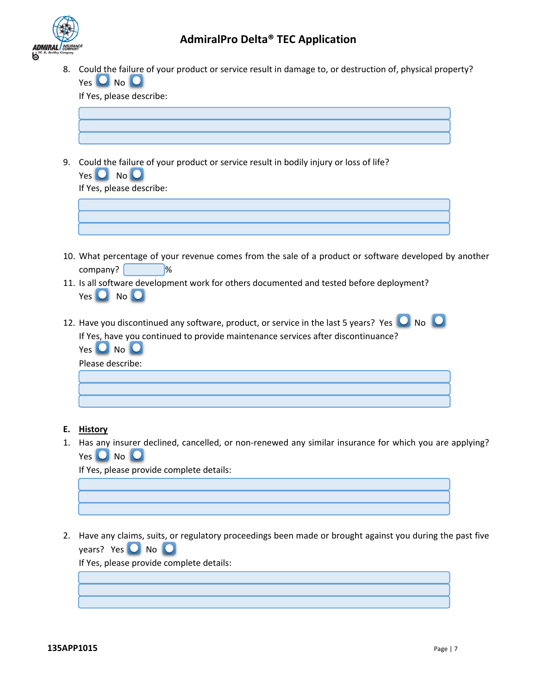

8. Could the failure of your product or service result in damage to, or destruction of, physical property?  $Yes$   $O$  No  $O$ 

If Yes, please describe:

9. Could the failure of your product or service result in bodily injury or loss of life?  $Yes$   $O$   $No$   $O$ 

| If Yes, please describe: |  |
|--------------------------|--|
|                          |  |
|                          |  |
|                          |  |

- 10. What percentage of your revenue comes from the sale of a product or software developed by another company?
- 11. Is all software development work for others documented and tested before deployment?  $Yes$   $O$   $No$   $O$
- 12. Have you discontinued any software, product, or service in the last 5 years? Yes  $\overline{O}$  No  $\overline{O}$ If Yes, have you continued to provide maintenance services after discontinuance?  $Yes$   $O$  No  $O$

| Please describe: |  |  |  |
|------------------|--|--|--|
|                  |  |  |  |
|                  |  |  |  |
|                  |  |  |  |

- **E. History**
- 1. Has any insurer declined, cancelled, or non-renewed any similar insurance for which you are applying? Yes  $O$  No  $O$

If Yes, please provide complete details:

2. Have any claims, suits, or regulatory proceedings been made or brought against you during the past five years? Yes  $\overline{O}$  No  $\overline{O}$ 

If Yes, please provide complete details: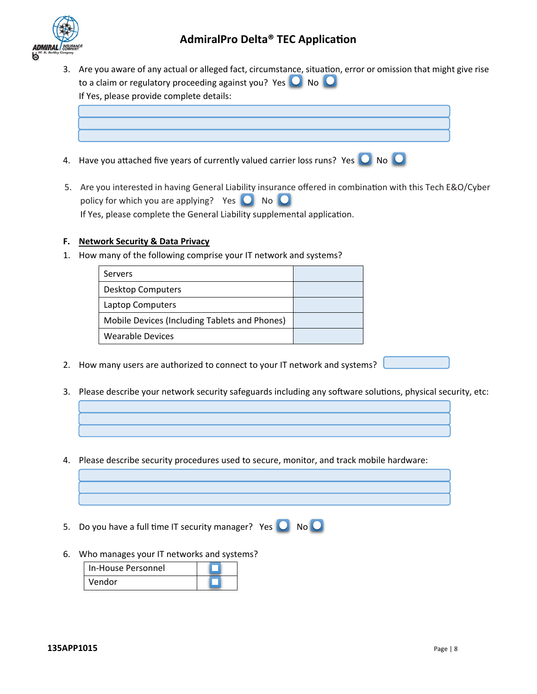

- 3. Are you aware of any actual or alleged fact, circumstance, situation, error or omission that might give rise to a claim or regulatory proceeding against you? Yes  $\overline{O}$  No  $\overline{O}$ If Yes, please provide complete details:
- 4. Have you attached five years of currently valued carrier loss runs? Yes  $\bigcirc$  No  $\bigcirc$
- 5. Are you interested in having General Liability insurance offered in combination with this Tech E&O/Cyber policy for which you are applying? Yes  $\bigcirc$  No  $\bigcirc$ If Yes, please complete the General Liability supplemental application.

#### **F. Network Security & Data Privacy**

1. How many of the following comprise your IT network and systems?

| Servers                                       |  |
|-----------------------------------------------|--|
| <b>Desktop Computers</b>                      |  |
| Laptop Computers                              |  |
| Mobile Devices (Including Tablets and Phones) |  |
| <b>Wearable Devices</b>                       |  |

- 2. How many users are authorized to connect to your IT network and systems?
- 3. Please describe your network security safeguards including any software solutions, physical security, etc:
- 4. Please describe security procedures used to secure, monitor, and track mobile hardware:
- 5. Do you have a full time IT security manager? Yes  $\overline{O}$  No  $\overline{O}$
- 6. Who manages your IT networks and systems?

| In-House Personnel |  |
|--------------------|--|
| Vendor             |  |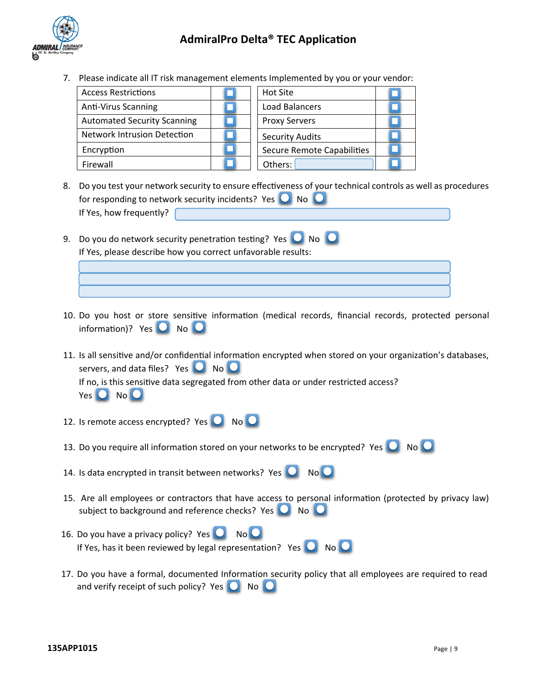

7. Please indicate all IT risk management elements Implemented by you or your vendor:

| <b>Access Restrictions</b>         | Hot Site                   |  |
|------------------------------------|----------------------------|--|
| <b>Anti-Virus Scanning</b>         | Load Balancers             |  |
| <b>Automated Security Scanning</b> | <b>Proxy Servers</b>       |  |
| <b>Network Intrusion Detection</b> | <b>Security Audits</b>     |  |
| Encryption                         | Secure Remote Capabilities |  |
| Firewall                           | Others:                    |  |

- 8. Do you test your network security to ensure effectiveness of your technical controls as well as procedures for responding to network security incidents? Yes  $\bigcirc$  No If Yes, how frequently?
- 9. Do you do network security penetration testing? Yes  $\bigcirc$  No  $\bigcirc$ If Yes, please describe how you correct unfavorable results:
- 10. Do you host or store sensitive information (medical records, financial records, protected personal information)? Yes  $\Box$  No  $\Box$
- 11. Is all sensitive and/or confidential information encrypted when stored on your organization's databases, servers, and data files? Yes  $\Box$  No  $\Box$ If no, is this sensitive data segregated from other data or under restricted access?  $Yes$   $O$   $No$   $O$
- 12. Is remote access encrypted? Yes  $\overline{O}$  No  $\overline{O}$
- 13. Do you require all information stored on your networks to be encrypted? Yes  $\bigcirc$  No  $\bigcirc$
- 14. Is data encrypted in transit between networks? Yes  $\overline{O}$  No  $\overline{O}$
- 15. Are all employees or contractors that have access to personal information (protected by privacy law) subject to background and reference checks? Yes  $\Box$  No  $\Box$
- 16. Do you have a privacy policy? Yes  $\Box$  No  $\Box$ If Yes, has it been reviewed by legal representation? Yes  $\bigcirc$  No  $\bigcirc$
- 17. Do you have a formal, documented Information security policy that all employees are required to read and verify receipt of such policy? Yes  $\bigcirc$  No  $\bigcirc$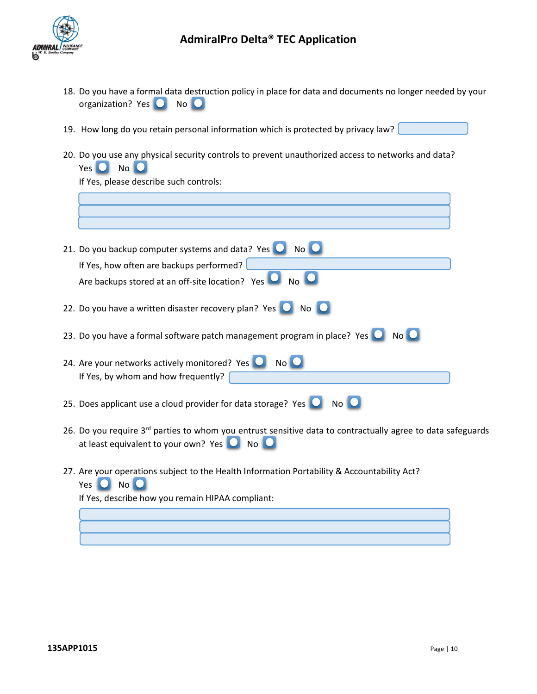

г

## **AdmiralPro Delta® TEC Application**

- 18. Do you have a formal data destruction policy in place for data and documents no longer needed by your organization? Yes  $\bigcirc$  No $\bigcirc$
- 19. How long do you retain personal information which is protected by privacy law?
- 20. Do you use any physical security controls to prevent unauthorized access to networks and data?  $Yes$   $O$  No  $O$

If Yes, please describe such controls:

| 21. Do you backup computer systems and data? Yes $\Box$ No $\Box$                                                                                                                        |  |
|------------------------------------------------------------------------------------------------------------------------------------------------------------------------------------------|--|
| If Yes, how often are backups performed?<br>Are backups stored at an off-site location? Yes<br>No Q                                                                                      |  |
| 22. Do you have a written disaster recovery plan? Yes $\Box$<br>No O                                                                                                                     |  |
| 23. Do you have a formal software patch management program in place? Yes<br>No <sup>O</sup>                                                                                              |  |
| 24. Are your networks actively monitored? Yes<br>No C<br>If Yes, by whom and how frequently?                                                                                             |  |
| 25. Does applicant use a cloud provider for data storage? Yes $\Box$<br>No O                                                                                                             |  |
| 26. Do you require 3 <sup>rd</sup> parties to whom you entrust sensitive data to contractually agree to data safeguards<br>at least equivalent to your own? Yes $\Box$<br>N <sub>O</sub> |  |
| 27. Are your operations subject to the Health Information Portability & Accountability Act?<br>Yes $\bigcup$<br>No C                                                                     |  |
| If Yes, describe how you remain HIPAA compliant:                                                                                                                                         |  |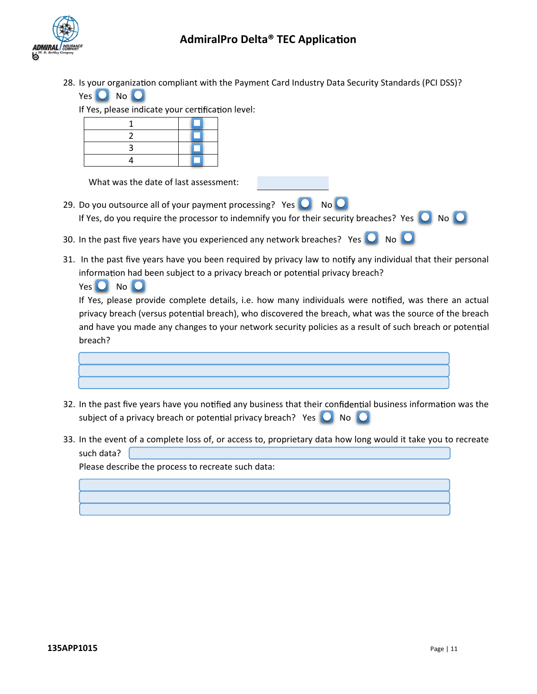28. Is your organization compliant with the Payment Card Industry Data Security Standards (PCI DSS)?

| Yes | No |  |
|-----|----|--|
|     |    |  |

Yes **O** No **O** 

If Yes, please indicate your certification level:

What was the date of last assessment:

- 29. Do you outsource all of your payment processing? Yes  $\bigcirc$  No  $\bigcirc$ If Yes, do you require the processor to indemnify you for their security breaches? Yes  $\bigcirc$  No  $\bigcirc$
- 30. In the past five years have you experienced any network breaches? Yes  $\bigcirc$  No  $\bigcirc$
- 31. In the past five years have you been required by privacy law to notify any individual that their personal information had been subject to a privacy breach or potential privacy breach?

If Yes, please provide complete details, i.e. how many individuals were notified, was there an actual privacy breach (versus potential breach), who discovered the breach, what was the source of the breach and have you made any changes to your network security policies as a result of such breach or potential breach?



- 32. In the past five years have you notified any business that their confidential business information was the subject of a privacy breach or potential privacy breach? Yes  $\bigcirc$  No  $\bigcirc$
- 33. In the event of a complete loss of, or access to, proprietary data how long would it take you to recreate such data?

Please describe the process to recreate such data: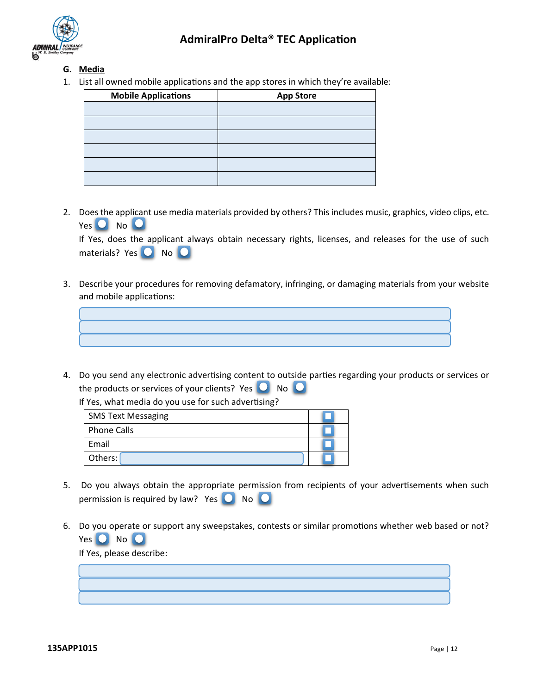

### **G. Media**

1. List all owned mobile applications and the app stores in which they're available:

| <b>Mobile Applications</b> | <b>App Store</b> |  |  |  |  |
|----------------------------|------------------|--|--|--|--|
|                            |                  |  |  |  |  |
|                            |                  |  |  |  |  |
|                            |                  |  |  |  |  |
|                            |                  |  |  |  |  |
|                            |                  |  |  |  |  |
|                            |                  |  |  |  |  |

2. Does the applicant use media materials provided by others? This includes music, graphics, video clips, etc. Yes  $O$  No  $O$ 

If Yes, does the applicant always obtain necessary rights, licenses, and releases for the use of such materials? Yes O No O

3. Describe your procedures for removing defamatory, infringing, or damaging materials from your website and mobile applications:



4. Do you send any electronic advertising content to outside parties regarding your products or services or the products or services of your clients? Yes  $\bigcirc$  No  $\bigcirc$ 

If Yes, what media do you use for such advertising?

| <b>SMS Text Messaging</b> |  |
|---------------------------|--|
| <b>Phone Calls</b>        |  |
| Email                     |  |
| Others:                   |  |

- 5. Do you always obtain the appropriate permission from recipients of your advertisements when such permission is required by law? Yes  $\bigcirc$  No  $\bigcirc$
- 6. Do you operate or support any sweepstakes, contests or similar promotions whether web based or not? Yes O No O

If Yes, please describe: